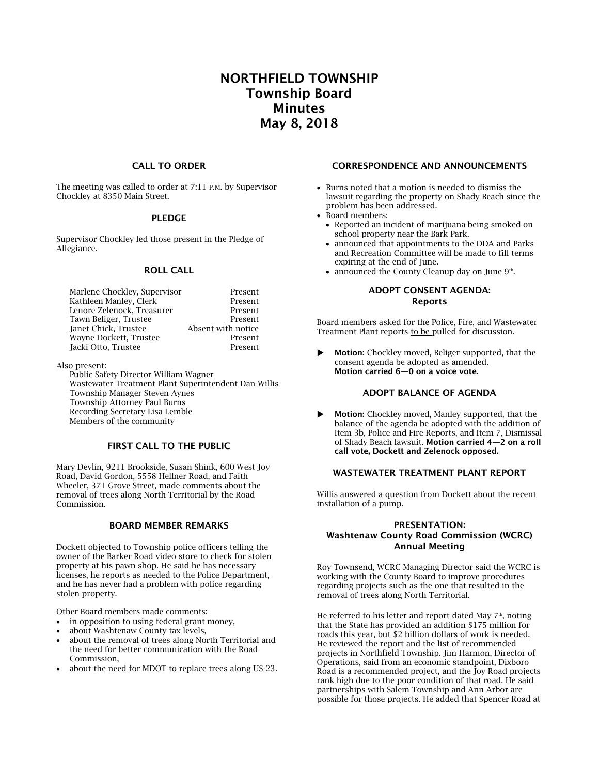# **NORTHFIELD TOWNSHIP Township Board Minutes May 8, 2018**

#### **CALL TO ORDER**

The meeting was called to order at 7:11 P.M. by Supervisor Chockley at 8350 Main Street.

#### **PLEDGE**

Supervisor Chockley led those present in the Pledge of Allegiance.

## **ROLL CALL**

| Marlene Chockley, Supervisor | Present            |
|------------------------------|--------------------|
| Kathleen Manley, Clerk       | Present            |
| Lenore Zelenock, Treasurer   | Present            |
| Tawn Beliger, Trustee        | Present            |
| Janet Chick, Trustee         | Absent with notice |
| Wayne Dockett, Trustee       | Present            |
| Jacki Otto, Trustee          | Present            |

Also present:

Public Safety Director William Wagner Wastewater Treatment Plant Superintendent Dan Willis Township Manager Steven Aynes Township Attorney Paul Burns Recording Secretary Lisa Lemble Members of the community

# **FIRST CALL TO THE PUBLIC**

Mary Devlin, 9211 Brookside, Susan Shink, 600 West Joy Road, David Gordon, 5558 Hellner Road, and Faith Wheeler, 371 Grove Street, made comments about the removal of trees along North Territorial by the Road Commission.

## **BOARD MEMBER REMARKS**

Dockett objected to Township police officers telling the owner of the Barker Road video store to check for stolen property at his pawn shop. He said he has necessary licenses, he reports as needed to the Police Department, and he has never had a problem with police regarding stolen property.

Other Board members made comments:

- in opposition to using federal grant money,
- about Washtenaw County tax levels,
- about the removal of trees along North Territorial and the need for better communication with the Road Commission,
- about the need for MDOT to replace trees along US-23.

#### **CORRESPONDENCE AND ANNOUNCEMENTS**

- Burns noted that a motion is needed to dismiss the lawsuit regarding the property on Shady Beach since the problem has been addressed.
- Board members:
	- Reported an incident of marijuana being smoked on school property near the Bark Park.
	- announced that appointments to the DDA and Parks and Recreation Committee will be made to fill terms expiring at the end of June.
	- announced the County Cleanup day on June 9<sup>th</sup>.

## **ADOPT CONSENT AGENDA: Reports**

Board members asked for the Police, Fire, and Wastewater Treatment Plant reports to be pulled for discussion.

 **Motion:** Chockley moved, Beliger supported, that the consent agenda be adopted as amended. **Motion carried 6—0 on a voice vote.**

# **ADOPT BALANCE OF AGENDA**

 **Motion:** Chockley moved, Manley supported, that the balance of the agenda be adopted with the addition of Item 3b, Police and Fire Reports, and Item 7, Dismissal of Shady Beach lawsuit. **Motion carried 4—2 on a roll call vote, Dockett and Zelenock opposed.**

# **WASTEWATER TREATMENT PLANT REPORT**

Willis answered a question from Dockett about the recent installation of a pump.

#### **PRESENTATION: Washtenaw County Road Commission (WCRC) Annual Meeting**

Roy Townsend, WCRC Managing Director said the WCRC is working with the County Board to improve procedures regarding projects such as the one that resulted in the removal of trees along North Territorial.

He referred to his letter and report dated May  $7<sup>th</sup>$ , noting that the State has provided an addition \$175 million for roads this year, but \$2 billion dollars of work is needed. He reviewed the report and the list of recommended projects in Northfield Township. Jim Harmon, Director of Operations, said from an economic standpoint, Dixboro Road is a recommended project, and the Joy Road projects rank high due to the poor condition of that road. He said partnerships with Salem Township and Ann Arbor are possible for those projects. He added that Spencer Road at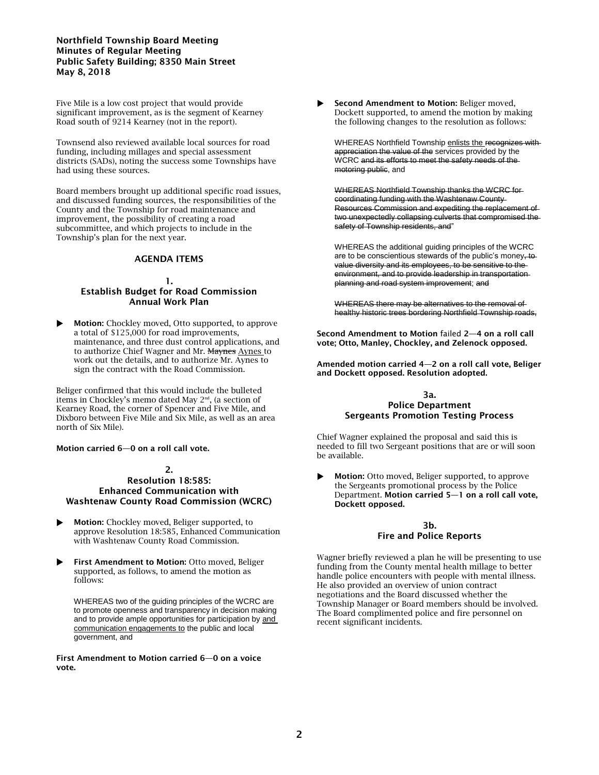## **Northfield Township Board Meeting Minutes of Regular Meeting Public Safety Building; 8350 Main Street May 8, 2018**

Five Mile is a low cost project that would provide significant improvement, as is the segment of Kearney Road south of 9214 Kearney (not in the report).

Townsend also reviewed available local sources for road funding, including millages and special assessment districts (SADs), noting the success some Townships have had using these sources.

Board members brought up additional specific road issues, and discussed funding sources, the responsibilities of the County and the Township for road maintenance and improvement, the possibility of creating a road subcommittee, and which projects to include in the Township's plan for the next year.

# **AGENDA ITEMS**

# **1.**

## **Establish Budget for Road Commission Annual Work Plan**

 **Motion:** Chockley moved, Otto supported, to approve a total of \$125,000 for road improvements, maintenance, and three dust control applications, and to authorize Chief Wagner and Mr. Maynes Aynes to work out the details, and to authorize Mr. Aynes to sign the contract with the Road Commission.

Beliger confirmed that this would include the bulleted items in Chockley's memo dated May 2nd, (a section of Kearney Road, the corner of Spencer and Five Mile, and Dixboro between Five Mile and Six Mile, as well as an area north of Six Mile).

**Motion carried 6—0 on a roll call vote.** 

#### **2. Resolution 18:585: Enhanced Communication with Washtenaw County Road Commission (WCRC)**

- **Motion:** Chockley moved, Beliger supported, to approve Resolution 18:585, Enhanced Communication with Washtenaw County Road Commission.
- **First Amendment to Motion:** Otto moved, Beliger supported, as follows, to amend the motion as follows:

WHEREAS two of the guiding principles of the WCRC are to promote openness and transparency in decision making and to provide ample opportunities for participation by and communication engagements to the public and local government, and

**First Amendment to Motion carried 6—0 on a voice vote.**

 **Second Amendment to Motion:** Beliger moved, Dockett supported, to amend the motion by making the following changes to the resolution as follows:

WHEREAS Northfield Township enlists the recognizes with appreciation the value of the services provided by the WCRC and its efforts to meet the safety needs of the motoring public, and

WHEREAS Northfield Township thanks the WCRC for coordinating funding with the Washtenaw County Resources Commission and expediting the replacement of two unexpectedly collapsing culverts that compromised the safety of Township residents, and"

WHEREAS the additional guiding principles of the WCRC are to be conscientious stewards of the public's money, to value diversity and its employees, to be sensitive to the environment, and to provide leadership in transportation planning and road system improvement; and

WHEREAS there may be alternatives to the removal of healthy historic trees bordering Northfield Township roads,

**Second Amendment to Motion** failed **2—4 on a roll call vote; Otto, Manley, Chockley, and Zelenock opposed.**

**Amended motion carried 4—2 on a roll call vote, Beliger and Dockett opposed. Resolution adopted.**

#### **3a. Police Department Sergeants Promotion Testing Process**

Chief Wagner explained the proposal and said this is needed to fill two Sergeant positions that are or will soon be available.

 **Motion:** Otto moved, Beliger supported, to approve the Sergeants promotional process by the Police Department. **Motion carried 5—1 on a roll call vote, Dockett opposed.**

#### **3b. Fire and Police Reports**

Wagner briefly reviewed a plan he will be presenting to use funding from the County mental health millage to better handle police encounters with people with mental illness. He also provided an overview of union contract negotiations and the Board discussed whether the Township Manager or Board members should be involved. The Board complimented police and fire personnel on recent significant incidents.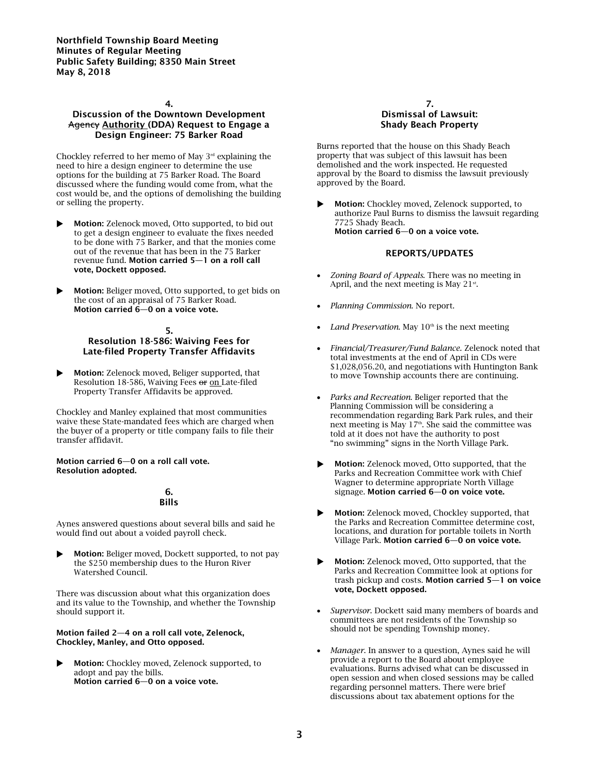**Northfield Township Board Meeting Minutes of Regular Meeting Public Safety Building; 8350 Main Street May 8, 2018**

#### **4.**

# **Discussion of the Downtown Development**  Agency **Authority (DDA) Request to Engage a Design Engineer: 75 Barker Road**

Chockley referred to her memo of May 3rd explaining the need to hire a design engineer to determine the use options for the building at 75 Barker Road. The Board discussed where the funding would come from, what the cost would be, and the options of demolishing the building or selling the property.

 **Motion:** Zelenock moved, Otto supported, to bid out to get a design engineer to evaluate the fixes needed to be done with 75 Barker, and that the monies come out of the revenue that has been in the 75 Barker revenue fund. **Motion carried 5—1 on a roll call vote, Dockett opposed.**

 **Motion:** Beliger moved, Otto supported, to get bids on the cost of an appraisal of 75 Barker Road. **Motion carried 6—0 on a voice vote.**

#### **5. Resolution 18-586: Waiving Fees for Late-filed Property Transfer Affidavits**

 **Motion:** Zelenock moved, Beliger supported, that Resolution 18-586, Waiving Fees or on Late-filed Property Transfer Affidavits be approved.

Chockley and Manley explained that most communities waive these State-mandated fees which are charged when the buyer of a property or title company fails to file their transfer affidavit.

#### **Motion carried 6—0 on a roll call vote. Resolution adopted.**

# **6. Bills**

Aynes answered questions about several bills and said he would find out about a voided payroll check.

 **Motion:** Beliger moved, Dockett supported, to not pay the \$250 membership dues to the Huron River Watershed Council.

There was discussion about what this organization does and its value to the Township, and whether the Township should support it.

#### **Motion failed 2—4 on a roll call vote, Zelenock, Chockley, Manley, and Otto opposed.**

 **Motion:** Chockley moved, Zelenock supported, to adopt and pay the bills. **Motion carried 6—0 on a voice vote.**

#### **7. Dismissal of Lawsuit: Shady Beach Property**

Burns reported that the house on this Shady Beach property that was subject of this lawsuit has been demolished and the work inspected. He requested approval by the Board to dismiss the lawsuit previously approved by the Board.

 **Motion:** Chockley moved, Zelenock supported, to authorize Paul Burns to dismiss the lawsuit regarding 7725 Shady Beach. **Motion carried 6—0 on a voice vote.**

## **REPORTS/UPDATES**

- *Zoning Board of Appeals*. There was no meeting in April, and the next meeting is May  $21^{st}$ .
- *Planning Commission*. No report.
- Land Preservation. May  $10<sup>th</sup>$  is the next meeting
- *Financial/Treasurer/Fund Balance.* Zelenock noted that total investments at the end of April in CDs were \$1,028,056.20, and negotiations with Huntington Bank to move Township accounts there are continuing.
- *Parks and Recreation*. Beliger reported that the Planning Commission will be considering a recommendation regarding Bark Park rules, and their next meeting is May 17<sup>th</sup>. She said the committee was told at it does not have the authority to post "no swimming" signs in the North Village Park.
- **Motion:** Zelenock moved, Otto supported, that the Parks and Recreation Committee work with Chief Wagner to determine appropriate North Village signage. **Motion carried 6—0 on voice vote.**
- **Motion:** Zelenock moved, Chockley supported, that the Parks and Recreation Committee determine cost, locations, and duration for portable toilets in North Village Park. **Motion carried 6—0 on voice vote.**
- **Motion:** Zelenock moved, Otto supported, that the Parks and Recreation Committee look at options for trash pickup and costs. **Motion carried 5—1 on voice vote, Dockett opposed.**
- *Supervisor*. Dockett said many members of boards and committees are not residents of the Township so should not be spending Township money.
- *Manager*. In answer to a question, Aynes said he will provide a report to the Board about employee evaluations. Burns advised what can be discussed in open session and when closed sessions may be called regarding personnel matters. There were brief discussions about tax abatement options for the